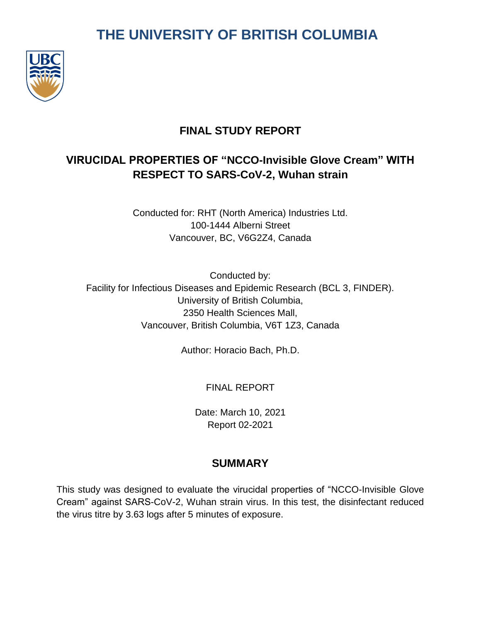# **THE UNIVERSITY OF BRITISH COLUMBIA**



# **FINAL STUDY REPORT**

# **VIRUCIDAL PROPERTIES OF "NCCO-Invisible Glove Cream" WITH RESPECT TO SARS-CoV-2, Wuhan strain**

Conducted for: RHT (North America) Industries Ltd. 100-1444 Alberni Street Vancouver, BC, V6G2Z4, Canada

Conducted by: Facility for Infectious Diseases and Epidemic Research (BCL 3, FINDER). University of British Columbia, 2350 Health Sciences Mall, Vancouver, British Columbia, V6T 1Z3, Canada

Author: Horacio Bach, Ph.D.

FINAL REPORT

Date: March 10, 2021 Report 02-2021

# **SUMMARY**

This study was designed to evaluate the virucidal properties of "NCCO-Invisible Glove Cream" against SARS-CoV-2, Wuhan strain virus. In this test, the disinfectant reduced the virus titre by 3.63 logs after 5 minutes of exposure.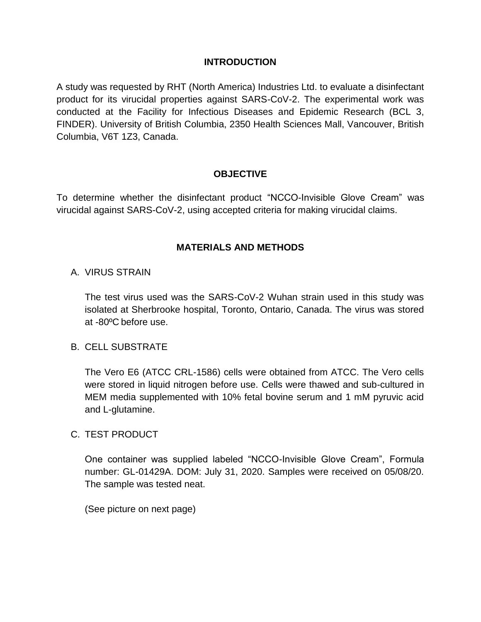#### **INTRODUCTION**

A study was requested by RHT (North America) Industries Ltd. to evaluate a disinfectant product for its virucidal properties against SARS-CoV-2. The experimental work was conducted at the Facility for Infectious Diseases and Epidemic Research (BCL 3, FINDER). University of British Columbia, 2350 Health Sciences Mall, Vancouver, British Columbia, V6T 1Z3, Canada.

#### **OBJECTIVE**

To determine whether the disinfectant product "NCCO-Invisible Glove Cream" was virucidal against SARS-CoV-2, using accepted criteria for making virucidal claims.

#### **MATERIALS AND METHODS**

#### A. VIRUS STRAIN

The test virus used was the SARS-CoV-2 Wuhan strain used in this study was isolated at Sherbrooke hospital, Toronto, Ontario, Canada. The virus was stored at -80ºC before use.

#### B. CELL SUBSTRATE

The Vero E6 (ATCC CRL-1586) cells were obtained from ATCC. The Vero cells were stored in liquid nitrogen before use. Cells were thawed and sub-cultured in MEM media supplemented with 10% fetal bovine serum and 1 mM pyruvic acid and L-glutamine.

#### C. TEST PRODUCT

One container was supplied labeled "NCCO-Invisible Glove Cream", Formula number: GL-01429A. DOM: July 31, 2020. Samples were received on 05/08/20. The sample was tested neat.

(See picture on next page)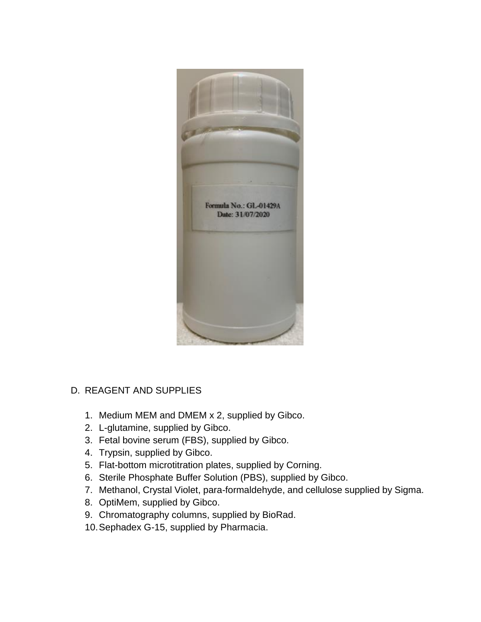

#### D. REAGENT AND SUPPLIES

- 1. Medium MEM and DMEM x 2, supplied by Gibco.
- 2. L-glutamine, supplied by Gibco.
- 3. Fetal bovine serum (FBS), supplied by Gibco.
- 4. Trypsin, supplied by Gibco.
- 5. Flat-bottom microtitration plates, supplied by Corning.
- 6. Sterile Phosphate Buffer Solution (PBS), supplied by Gibco.
- 7. Methanol, Crystal Violet, para-formaldehyde, and cellulose supplied by Sigma.
- 8. OptiMem, supplied by Gibco.
- 9. Chromatography columns, supplied by BioRad.
- 10.Sephadex G-15, supplied by Pharmacia.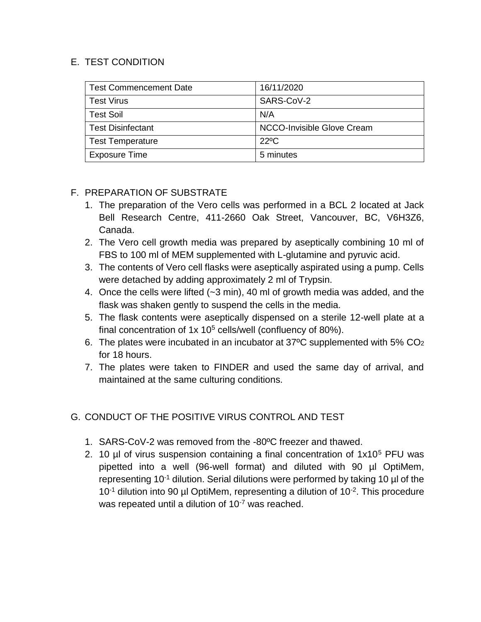### E. TEST CONDITION

| <b>Test Commencement Date</b> | 16/11/2020                 |  |
|-------------------------------|----------------------------|--|
| <b>Test Virus</b>             | SARS-CoV-2                 |  |
| <b>Test Soil</b>              | N/A                        |  |
| <b>Test Disinfectant</b>      | NCCO-Invisible Glove Cream |  |
| <b>Test Temperature</b>       | $22^{\circ}$ C             |  |
| <b>Exposure Time</b>          | 5 minutes                  |  |

## F. PREPARATION OF SUBSTRATE

- 1. The preparation of the Vero cells was performed in a BCL 2 located at Jack Bell Research Centre, 411-2660 Oak Street, Vancouver, BC, V6H3Z6, Canada.
- 2. The Vero cell growth media was prepared by aseptically combining 10 ml of FBS to 100 ml of MEM supplemented with L-glutamine and pyruvic acid.
- 3. The contents of Vero cell flasks were aseptically aspirated using a pump. Cells were detached by adding approximately 2 ml of Trypsin.
- 4. Once the cells were lifted (~3 min), 40 ml of growth media was added, and the flask was shaken gently to suspend the cells in the media.
- 5. The flask contents were aseptically dispensed on a sterile 12-well plate at a final concentration of  $1x 10^5$  cells/well (confluency of 80%).
- 6. The plates were incubated in an incubator at 37 $\degree$ C supplemented with 5% CO<sub>2</sub> for 18 hours.
- 7. The plates were taken to FINDER and used the same day of arrival, and maintained at the same culturing conditions.

## G. CONDUCT OF THE POSITIVE VIRUS CONTROL AND TEST

- 1. SARS-CoV-2 was removed from the -80ºC freezer and thawed.
- 2. 10  $\mu$  of virus suspension containing a final concentration of 1x10<sup>5</sup> PFU was pipetted into a well (96-well format) and diluted with 90 µl OptiMem, representing  $10^{-1}$  dilution. Serial dilutions were performed by taking 10  $\mu$ l of the  $10^{-1}$  dilution into 90 µl OptiMem, representing a dilution of  $10^{-2}$ . This procedure was repeated until a dilution of 10<sup>-7</sup> was reached.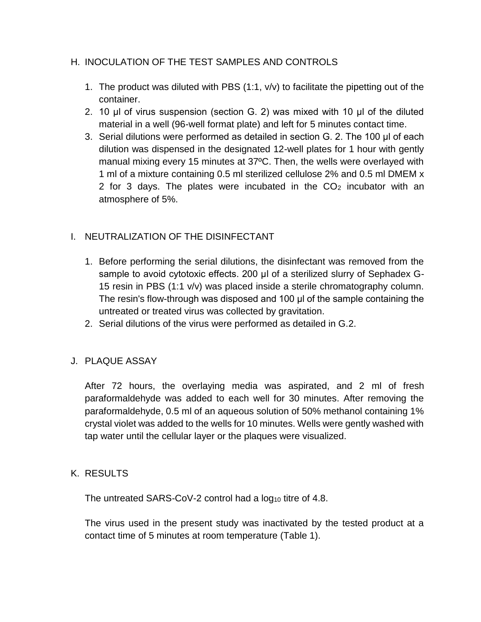### H. INOCULATION OF THE TEST SAMPLES AND CONTROLS

- 1. The product was diluted with PBS (1:1, v/v) to facilitate the pipetting out of the container.
- 2. 10 μl of virus suspension (section G. 2) was mixed with 10 μl of the diluted material in a well (96-well format plate) and left for 5 minutes contact time.
- 3. Serial dilutions were performed as detailed in section G. 2. The 100 μl of each dilution was dispensed in the designated 12-well plates for 1 hour with gently manual mixing every 15 minutes at 37ºC. Then, the wells were overlayed with 1 ml of a mixture containing 0.5 ml sterilized cellulose 2% and 0.5 ml DMEM x 2 for 3 days. The plates were incubated in the  $CO<sub>2</sub>$  incubator with an atmosphere of 5%.

## I. NEUTRALIZATION OF THE DISINFECTANT

- 1. Before performing the serial dilutions, the disinfectant was removed from the sample to avoid cytotoxic effects. 200 μl of a sterilized slurry of Sephadex G-15 resin in PBS (1:1 v/v) was placed inside a sterile chromatography column. The resin's flow-through was disposed and 100 μl of the sample containing the untreated or treated virus was collected by gravitation.
- 2. Serial dilutions of the virus were performed as detailed in G.2.

#### J. PLAQUE ASSAY

After 72 hours, the overlaying media was aspirated, and 2 ml of fresh paraformaldehyde was added to each well for 30 minutes. After removing the paraformaldehyde, 0.5 ml of an aqueous solution of 50% methanol containing 1% crystal violet was added to the wells for 10 minutes. Wells were gently washed with tap water until the cellular layer or the plaques were visualized.

#### K. RESULTS

The untreated SARS-CoV-2 control had a  $log_{10}$  titre of 4.8.

The virus used in the present study was inactivated by the tested product at a contact time of 5 minutes at room temperature (Table 1).